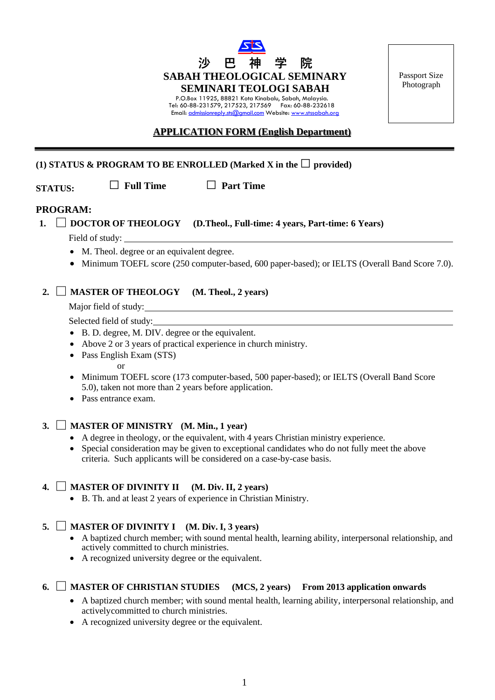

P.O.Box 11925, 88821 Kota Kinabalu, Sabah, Malaysia. Tel: 60-88-231579, 217523, 217569 Fax: 60-88-232618 Email: [admissionreply.sts@gmail.com](mailto:admissionreply.sts@gmail.com) Website: [www.stssabah.org](http://www.stssabah.org/) Passport Size Photograph

## **APPLICATION FORM (English Department)**

## **(1) STATUS & PROGRAM TO BE ENROLLED** (Marked **X** in the  $\Box$  provided)

**STATUS: □ Full Time □ Part Time**

### **PROGRAM:**

**1. □ DOCTOR OF THEOLOGY (D.Theol., Full-time: 4 years, Part-time: 6 Years)**

Field of study:

- M. Theol. degree or an equivalent degree.
- Minimum TOEFL score (250 computer-based, 600 paper-based); or IELTS (Overall Band Score 7.0).

## **2. □ MASTER OF THEOLOGY (M. Theol., 2 years)**

Major field of study:

Selected field of study:

- B. D. degree, M. DIV. degree or the equivalent.
- Above 2 or 3 years of practical experience in church ministry.
- Pass English Exam (STS)

#### or

- Minimum TOEFL score (173 computer-based, 500 paper-based); or IELTS (Overall Band Score 5.0), taken not more than 2 years before application.
- Pass entrance exam.

## **3. □ MASTER OF MINISTRY (M. Min., 1 year)**

- A degree in theology, or the equivalent, with 4 years Christian ministry experience.
- Special consideration may be given to exceptional candidates who do not fully meet the above criteria. Such applicants will be considered on a case-by-case basis.

### **4. □ MASTER OF DIVINITY II (M. Div. II, 2 years)**

• B. Th. and at least 2 years of experience in Christian Ministry.

## **5. □ MASTER OF DIVINITY I (M. Div. I, 3 years)**

- A baptized church member; with sound mental health, learning ability, interpersonal relationship, and actively committed to church ministries.
- A recognized university degree or the equivalent.

## **6. □ MASTER OF CHRISTIAN STUDIES (MCS, 2 years) From 2013 application onwards**

- A baptized church member; with sound mental health, learning ability, interpersonal relationship, and activelycommitted to church ministries.
- A recognized university degree or the equivalent.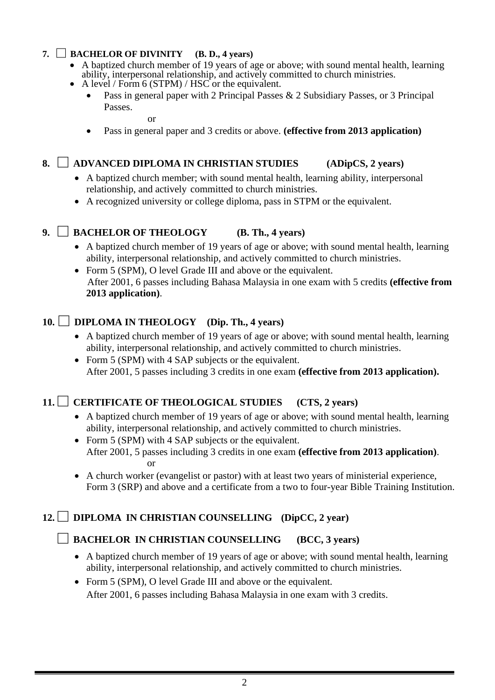# **7. □ BACHELOR OF DIVINITY (B. D., 4 years)**

- A baptized church member of 19 years of age or above; with sound mental health, learning ability, interpersonal relationship, and actively committed to church ministries.
	- A level / Form 6 (STPM) / HSC or the equivalent.
	- Pass in general paper with 2 Principal Passes  $& 2$  Subsidiary Passes, or 3 Principal Passes.

or

• Pass in general paper and 3 credits or above. **(effective from 2013 application)**

# **8. □ ADVANCED DIPLOMA IN CHRISTIAN STUDIES (ADipCS, 2 years)**

- A baptized church member; with sound mental health, learning ability, interpersonal relationship, and actively committed to church ministries.
- A recognized university or college diploma, pass in STPM or the equivalent.

# **9. □ BACHELOR OF THEOLOGY (B. Th., 4 years)**

- A baptized church member of 19 years of age or above; with sound mental health, learning ability, interpersonal relationship, and actively committed to church ministries.
- Form 5 (SPM), O level Grade III and above or the equivalent. After 2001, 6 passes including Bahasa Malaysia in one exam with 5 credits **(effective from 2013 application)**.

# **10. □ DIPLOMA IN THEOLOGY (Dip. Th., 4 years)**

- A baptized church member of 19 years of age or above; with sound mental health, learning ability, interpersonal relationship, and actively committed to church ministries.
- Form 5 (SPM) with 4 SAP subjects or the equivalent. After 2001, 5 passes including 3 credits in one exam **(effective from 2013 application).**

# **11.□ CERTIFICATE OF THEOLOGICAL STUDIES (CTS, 2 years)**

- A baptized church member of 19 years of age or above; with sound mental health, learning ability, interpersonal relationship, and actively committed to church ministries.
- Form 5 (SPM) with 4 SAP subjects or the equivalent. After 2001, 5 passes including 3 credits in one exam **(effective from 2013 application)**. or
- A church worker (evangelist or pastor) with at least two years of ministerial experience, Form 3 (SRP) and above and a certificate from a two to four-year Bible Training Institution.

# **12.□ DIPLOMA IN CHRISTIAN COUNSELLING (DipCC, 2 year)**

# **□ BACHELOR IN CHRISTIAN COUNSELLING (BCC, 3 years)**

- A baptized church member of 19 years of age or above; with sound mental health, learning ability, interpersonal relationship, and actively committed to church ministries.
- Form 5 (SPM), O level Grade III and above or the equivalent. After 2001, 6 passes including Bahasa Malaysia in one exam with 3 credits.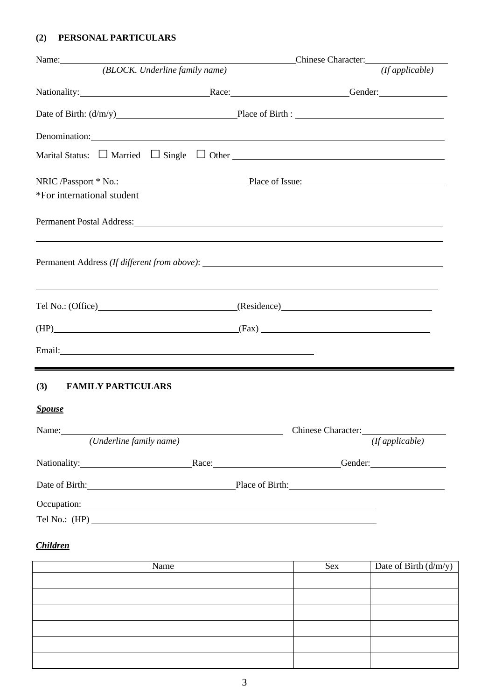# **(2) PERSONAL PARTICULARS**

|                                                                                                                      | Name: Chinese Character:                                                                                                                                                                                                       |
|----------------------------------------------------------------------------------------------------------------------|--------------------------------------------------------------------------------------------------------------------------------------------------------------------------------------------------------------------------------|
| (BLOCK. Underline family name)                                                                                       | (fappliedble)                                                                                                                                                                                                                  |
|                                                                                                                      | Nationality: Conder: Condering Condering Condering Condering Condering Condering Condering Condering Condering Condering Condering Condering Condering Condering Condering Condering Condering Condering Condering Condering C |
|                                                                                                                      |                                                                                                                                                                                                                                |
| Denomination:                                                                                                        |                                                                                                                                                                                                                                |
|                                                                                                                      |                                                                                                                                                                                                                                |
| *For international student                                                                                           | NRIC /Passport * No.: Place of Issue:                                                                                                                                                                                          |
|                                                                                                                      | Permanent Postal Address: 1988 and 2008 and 2008 and 2008 and 2008 and 2008 and 2008 and 2008 and 2008 and 200                                                                                                                 |
|                                                                                                                      | <u> 1989 - Andrea Santana, amerikana amerikana amerikana amerikana amerikana amerikana amerikana amerikana amerika</u><br>,我们也不会有什么。""我们的人,我们也不会有什么?""我们的人,我们也不会有什么?""我们的人,我们也不会有什么?""我们的人,我们也不会有什么?""我们的人                     |
|                                                                                                                      | Tel No.: (Office) (Residence) (Residence)                                                                                                                                                                                      |
|                                                                                                                      | $(HP)$ (Fax) (Fax)                                                                                                                                                                                                             |
|                                                                                                                      |                                                                                                                                                                                                                                |
| ,我们也不会有一个人的人,我们也不会有一个人的人,我们也不会有一个人的人。""我们,我们也不会有一个人的人,我们也不会有一个人的人,我们也不会有一个人的人,我们<br>(3)<br><b>FAMILY PARTICULARS</b> |                                                                                                                                                                                                                                |
| <b>Spouse</b>                                                                                                        |                                                                                                                                                                                                                                |
|                                                                                                                      | Chinese Character:                                                                                                                                                                                                             |
| (Underline family name)                                                                                              | (If applicable)                                                                                                                                                                                                                |
|                                                                                                                      | Nationality: Race: Race: Gender: Gender:                                                                                                                                                                                       |
|                                                                                                                      | Date of Birth: Place of Birth: Place of Birth:                                                                                                                                                                                 |
| Occupation:                                                                                                          |                                                                                                                                                                                                                                |
|                                                                                                                      |                                                                                                                                                                                                                                |

# *Children*

| Name | Sex | Date of Birth $(d/m/y)$ |
|------|-----|-------------------------|
|      |     |                         |
|      |     |                         |
|      |     |                         |
|      |     |                         |
|      |     |                         |
|      |     |                         |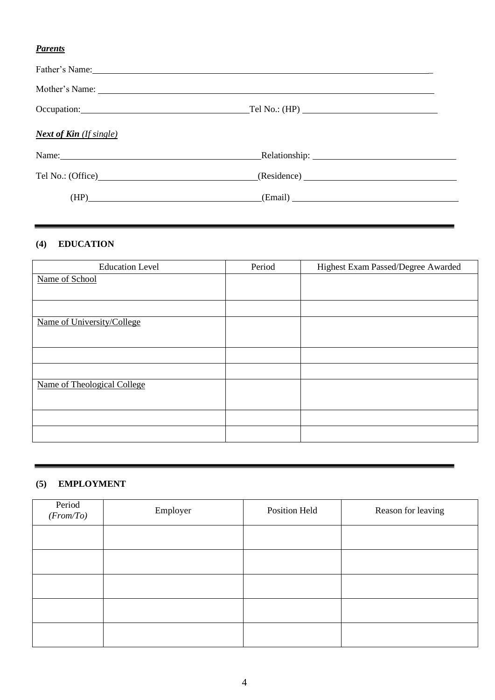# *Parents*

| Father's Name: Name: Name: Name: Name: Name: Name: Name: Name: Name: Name: Name: Name: Name: Name: Name: Name: Name: Name: Name: Name: Name: Name: Name: Name: Name: Name: Name: Name: Name: Name: Name: Name: Name: Name: Nam |         |  |
|--------------------------------------------------------------------------------------------------------------------------------------------------------------------------------------------------------------------------------|---------|--|
|                                                                                                                                                                                                                                |         |  |
| Occupation: Tel No.: (HP)                                                                                                                                                                                                      |         |  |
| <b>Next of Kin</b> (If single)                                                                                                                                                                                                 |         |  |
| Name: Name and the set of the set of the set of the set of the set of the set of the set of the set of the set of the set of the set of the set of the set of the set of the set of the set of the set of the set of the set o |         |  |
| Tel No.: (Office) (Residence) (Residence)                                                                                                                                                                                      |         |  |
| (HP)                                                                                                                                                                                                                           | (Email) |  |

# **(4) EDUCATION**

| <b>Education Level</b>      | Period | Highest Exam Passed/Degree Awarded |
|-----------------------------|--------|------------------------------------|
| Name of School              |        |                                    |
|                             |        |                                    |
|                             |        |                                    |
| Name of University/College  |        |                                    |
|                             |        |                                    |
|                             |        |                                    |
|                             |        |                                    |
| Name of Theological College |        |                                    |
|                             |        |                                    |
|                             |        |                                    |
|                             |        |                                    |

### **(5) EMPLOYMENT**

| Period<br>(From/To) | Employer | Position Held | Reason for leaving |
|---------------------|----------|---------------|--------------------|
|                     |          |               |                    |
|                     |          |               |                    |
|                     |          |               |                    |
|                     |          |               |                    |
|                     |          |               |                    |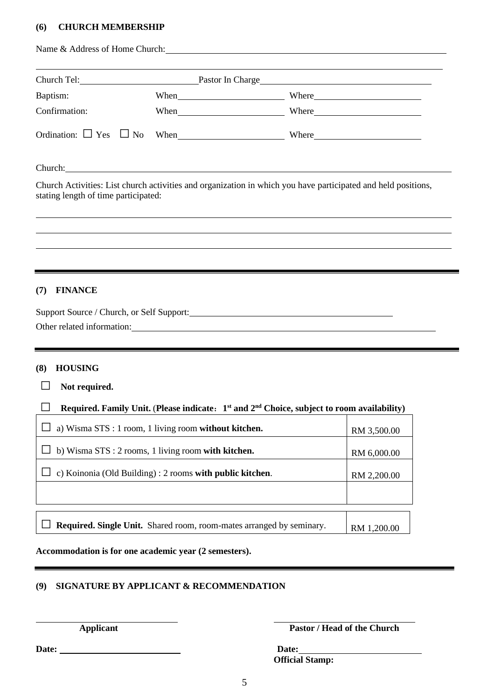## **(6) CHURCH MEMBERSHIP**

|                                                                                                                                                                                                                                     | Name & Address of Home Church: 1986. The Change of Home Church: 1986. The Change of Home Church: 1986. The Change of Home Church: 1986. The Change of Home Church: 1986. The Change of Home Church: 1986. The Change of Home C |             |
|-------------------------------------------------------------------------------------------------------------------------------------------------------------------------------------------------------------------------------------|--------------------------------------------------------------------------------------------------------------------------------------------------------------------------------------------------------------------------------|-------------|
| Church Tel: Pastor In Charge Pastor In Charge                                                                                                                                                                                       |                                                                                                                                                                                                                                |             |
| Baptism:                                                                                                                                                                                                                            | When When Where                                                                                                                                                                                                                |             |
| Confirmation:                                                                                                                                                                                                                       | When Where Where                                                                                                                                                                                                               |             |
| Ordination: $\Box$ Yes $\Box$ No                                                                                                                                                                                                    | When Where Where                                                                                                                                                                                                               |             |
| Church: <u>Church:</u> Church: Church: Church: Church: Church: Church: Church: Church: Church: Church: Church: Church: Church: Church: Church: Church: Church: Church: Church: Church: Church: Church: Church: Church: Church: Chur |                                                                                                                                                                                                                                |             |
| stating length of time participated:                                                                                                                                                                                                | Church Activities: List church activities and organization in which you have participated and held positions,                                                                                                                  |             |
|                                                                                                                                                                                                                                     |                                                                                                                                                                                                                                |             |
|                                                                                                                                                                                                                                     |                                                                                                                                                                                                                                |             |
|                                                                                                                                                                                                                                     |                                                                                                                                                                                                                                |             |
| (8)<br><b>HOUSING</b><br>$\Box$<br>Not required.                                                                                                                                                                                    | Other related information: example of the state of the state of the state of the state of the state of the state of the state of the state of the state of the state of the state of the state of the state of the state of th |             |
|                                                                                                                                                                                                                                     | Required. Family Unit. (Please indicate: 1 <sup>st</sup> and 2 <sup>nd</sup> Choice, subject to room availability)                                                                                                             |             |
| a) Wisma STS : 1 room, 1 living room without kitchen.                                                                                                                                                                               |                                                                                                                                                                                                                                | RM 3,500.00 |
| b) Wisma STS : 2 rooms, 1 living room with kitchen.                                                                                                                                                                                 |                                                                                                                                                                                                                                | RM 6,000.00 |
| c) Koinonia (Old Building) : 2 rooms with public kitchen.                                                                                                                                                                           |                                                                                                                                                                                                                                | RM 2,200.00 |
|                                                                                                                                                                                                                                     |                                                                                                                                                                                                                                |             |
|                                                                                                                                                                                                                                     | Required. Single Unit. Shared room, room-mates arranged by seminary.                                                                                                                                                           | RM 1,200.00 |
| Accommodation is for one academic year (2 semesters).                                                                                                                                                                               |                                                                                                                                                                                                                                |             |

## **(9) SIGNATURE BY APPLICANT & RECOMMENDATION**

**Pastor** / **Head of the Church** 

**Date: Date: Official Stamp:**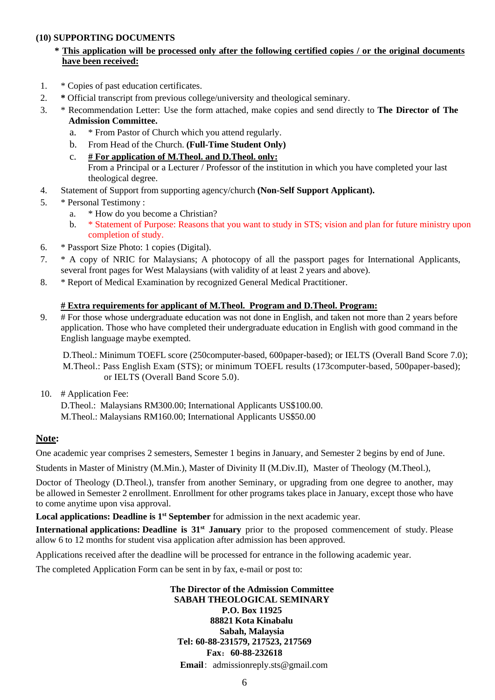#### **(10) SUPPORTING DOCUMENTS**

## \* This application will be processed only after the following certified copies / or the original documents **have been received:**

- 1. \* Copies of past education certificates.
- 2. **\*** Official transcript from previous college/university and theological seminary.
- 3. \* Recommendation Letter: Use the form attached, make copies and send directly to **The Director of The Admission Committee.**
	- a. \* From Pastor of Church which you attend regularly.
	- b. From Head of the Church. **(Full-Time Student Only)**
	- c. **# For application of M.Theol. and D.Theol. only:** From a Principal or a Lecturer / Professor of the institution in which you have completed your last theological degree.
- 4. Statement of Support from supporting agency/church **(Non-Self Support Applicant).**
- 5. \* Personal Testimony :
	- a. \* How do you become a Christian?
	- b. \* Statement of Purpose: Reasons that you want to study in STS; vision and plan for future ministry upon completion of study.
- 6. \* Passport Size Photo: 1 copies (Digital).
- 7. \* A copy of NRIC for Malaysians; A photocopy of all the passport pages for International Applicants, several front pages for West Malaysians (with validity of at least 2 years and above).
- 8. \* Report of Medical Examination by recognized General Medical Practitioner.

## **# Extra requirements for applicant of M.Theol. Program and D.Theol. Program:**

9. # For those whose undergraduate education was not done in English, and taken not more than 2 years before application. Those who have completed their undergraduate education in English with good command in the English language maybe exempted.

D.Theol.: Minimum TOEFL score (250computer-based, 600paper-based); or IELTS (Overall Band Score 7.0); M.Theol.: Pass English Exam (STS); or minimum TOEFL results (173computer-based, 500paper-based); or IELTS (Overall Band Score 5.0).

10. # Application Fee:

D.Theol.: Malaysians RM300.00; International Applicants US\$100.00. M.Theol.: Malaysians RM160.00; International Applicants US\$50.00

### **Note:**

One academic year comprises 2 semesters, Semester 1 begins in January, and Semester 2 begins by end of June.

Students in Master of Ministry (M.Min.), Master of Divinity II (M.Div.II), Master of Theology (M.Theol.),

Doctor of Theology (D.Theol.), transfer from another Seminary, or upgrading from one degree to another, may be allowed in Semester 2 enrollment. Enrollment for other programs takes place in January, except those who have to come anytime upon visa approval.

**Local applications: Deadline is 1 st September** for admission in the next academic year.

**International applications: Deadline is 31st January** prior to the proposed commencement of study. Please allow 6 to 12 months for student visa application after admission has been approved.

Applications received after the deadline will be processed for entrance in the following academic year.

The completed Application Form can be sent in by fax, e-mail or post to:

**The Director of the Admission Committee SABAH THEOLOGICAL SEMINARY P.O. Box 11925 88821 Kota Kinabalu Sabah, Malaysia Tel: 60-88-231579, 217523, 217569 Fax**:**60-88-232618 Email**: admissionreply.sts@gmail.com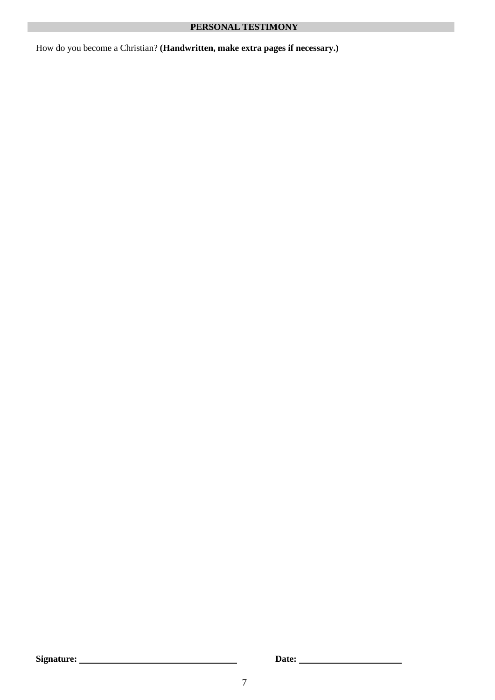How do you become a Christian? **(Handwritten, make extra pages if necessary.)**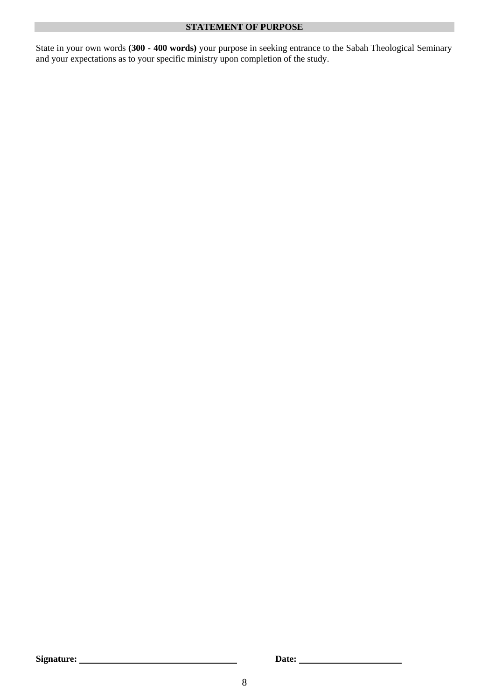#### **STATEMENT OF PURPOSE**

State in your own words **(300 - 400 words)** your purpose in seeking entrance to the Sabah Theological Seminary and your expectations as to your specific ministry upon completion of the study.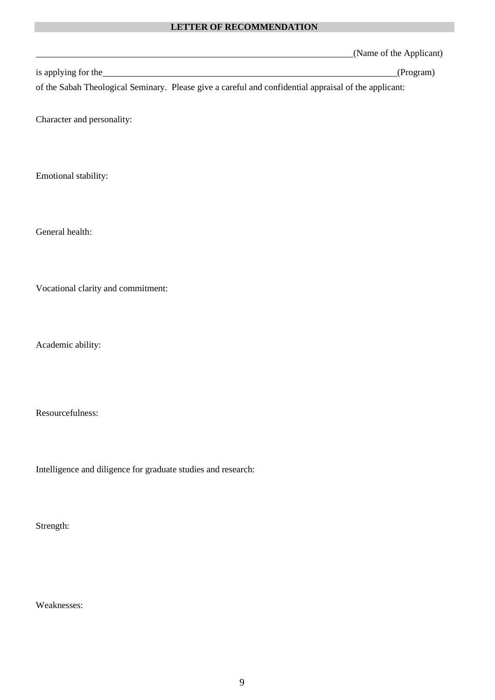### **LETTER OF RECOMMENDATION**

(Name of the Applicant)

is applying for the (Program)

of the Sabah Theological Seminary. Please give a careful and confidential appraisal of the applicant:

Character and personality:

Emotional stability:

General health:

Vocational clarity and commitment:

Academic ability:

Resourcefulness:

Intelligence and diligence for graduate studies and research:

Strength:

Weaknesses: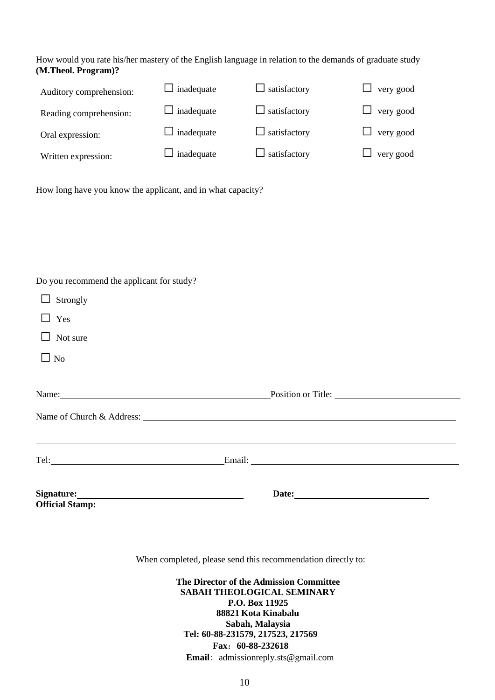#### How would you rate his/her mastery of the English language in relation to the demands of graduate study **(M.Theol. Program)?**

| Auditory comprehension: | $\Box$ inadequate | $\Box$ satisfactory | $\Box$ very good |
|-------------------------|-------------------|---------------------|------------------|
| Reading comprehension:  | $\Box$ inadequate | $\Box$ satisfactory | $\Box$ very good |
| Oral expression:        | $\Box$ inadequate | $\Box$ satisfactory | $\Box$ very good |
| Written expression:     | $\Box$ inadequate | $\Box$ satisfactory | $\Box$ very good |

How long have you know the applicant, and in what capacity?

Do you recommend the applicant for study?

|                                                                                                                                                                                                                                | Email: Email: |  |
|--------------------------------------------------------------------------------------------------------------------------------------------------------------------------------------------------------------------------------|---------------|--|
|                                                                                                                                                                                                                                |               |  |
| Name: Name and the set of the set of the set of the set of the set of the set of the set of the set of the set of the set of the set of the set of the set of the set of the set of the set of the set of the set of the set o |               |  |
| $\Box$ No                                                                                                                                                                                                                      |               |  |
| Not sure<br>ப                                                                                                                                                                                                                  |               |  |
| Yes<br>$\perp$                                                                                                                                                                                                                 |               |  |
| Strongly<br>$\Box$                                                                                                                                                                                                             |               |  |

When completed, please send this recommendation directly to:

**The Director of the Admission Committee SABAH THEOLOGICAL SEMINARY P.O. Box 11925 88821 Kota Kinabalu Sabah, Malaysia Tel: 60-88-231579, 217523, 217569 Fax**:**60-88-232618 Email**: admissionreply.sts@gmail.com